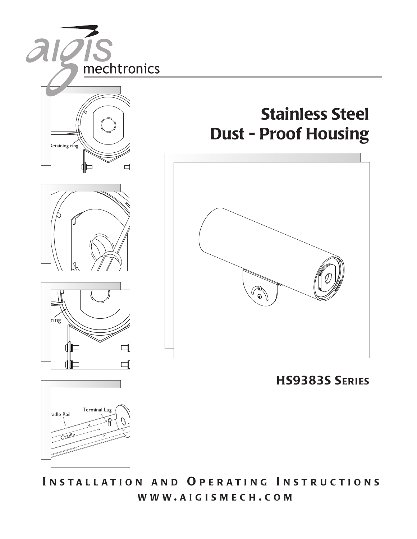

**I N S T ALLATION AN D O P E RATI NG I N STR UCTIONS WWW . AIGISMECH . COM**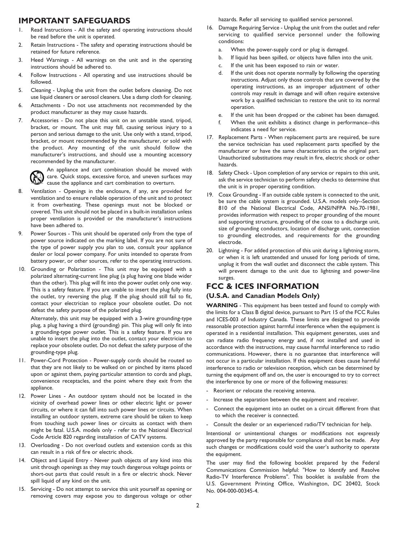## **IMPORTANT SAFEGUARDS**

- 1. Read Instructions All the safety and operating instructions should be read before the unit is operated.
- 2. Retain Instructions The safety and operating instructions should be retained for future reference.
- 3. Heed Warnings All warnings on the unit and in the operating instructions should be adhered to.
- 4. Follow Instructions All operating and use instructions should be followed.
- 5. Cleaning Unplug the unit from the outlet before cleaning. Do not use liquid cleaners or aerosol cleaners. Use a damp cloth for cleaning.
- 6. Attachments Do not use attachments not recommended by the product manufacturer as they may cause hazards.
- 7. Accessories Do not place this unit on an unstable stand, tripod, bracket, or mount. The unit may fall, causing serious injury to a person and serious damage to the unit. Use only with a stand, tripod, bracket, or mount recommended by the manufacturer, or sold with the product. Any mounting of the unit should follow the manufacturer's instructions, and should use a mounting accessory recommended by the manufacturer.



An appliance and cart combination should be moved with care. Quick stops, excessive force, and uneven surfaces may cause the appliance and cart combination to overturn.

- 8. Ventilation Openings in the enclosure, if any, are provided for ventilation and to ensure reliable operation of the unit and to protect it from overheating. These openings must not be blocked or covered. This unit should not be placed in a built-in installation unless proper ventilation is provided or the manufacturer's instructions have been adhered to.
- 9. Power Sources This unit should be operated only from the type of power source indicated on the marking label. If you are not sure of the type of power supply you plan to use, consult your appliance dealer or local power company. For units intended to operate from battery power, or other sources, refer to the operating instructions.
- 10. Grounding or Polarization This unit may be equipped with a polarized alternating-current line plug (a plug having one blade wider than the other). This plug will fit into the power outlet only one way. This is a safety feature. If you are unable to insert the plug fully into the outlet, try reversing the plug. If the plug should still fail to fit, contact your electrician to replace your obsolete outlet. Do not defeat the safety purpose of the polarized plug.

Alternately, this unit may be equipped with a 3-wire grounding-type plug, a plug having a third (grounding) pin. This plug will only fit into a grounding-type power outlet. This is a safety feature. If you are unable to insert the plug into the outlet, contact your electrician to replace your obsolete outlet. Do not defeat the safety purpose of the grounding-type plug.

- 11. Power-Cord Protection Power-supply cords should be routed so that they are not likely to be walked on or pinched by items placed upon or against them, paying particular attention to cords and plugs, convenience receptacles, and the point where they exit from the appliance.
- 12. Power Lines An outdoor system should not be located in the vicinity of overhead power lines or other electric light or power circuits, or where it can fall into such power lines or circuits. When installing an outdoor system, extreme care should be taken to keep from touching such power lines or circuits as contact with them might be fatal. U.S.A. models only - refer to the National Electrical Code Article 820 regarding installation of CATV systems.
- 13. Overloading Do not overload outlets and extension cords as this can result in a risk of fire or electric shock.
- 14. Object and Liquid Entry Never push objects of any kind into this unit through openings as they may touch dangerous voltage points or short-out parts that could result in a fire or electric shock. Never spill liquid of any kind on the unit.
- 15. Servicing Do not attempt to service this unit yourself as opening or removing covers may expose you to dangerous voltage or other

hazards. Refer all servicing to qualified service personnel.

- 16. Damage Requiring Service Unplug the unit from the outlet and refer servicing to qualified service personnel under the following conditions:
	- a. When the power-supply cord or plug is damaged.
	- b. If liquid has been spilled, or objects have fallen into the unit.
	- c. If the unit has been exposed to rain or water.
	- d. If the unit does not operate normally by following the operating instructions. Adjust only those controls that are covered by the operating instructions, as an improper adjustment of other controls may result in damage and will often require extensive work by a qualified technician to restore the unit to its normal operation.
	- e. If the unit has been dropped or the cabinet has been damaged.
	- f. When the unit exhibits a distinct change in performance--this indicates a need for service.
- 17. Replacement Parts When replacement parts are required, be sure the service technician has used replacement parts specified by the manufacturer or have the same characteristics as the original part. Unauthorized substitutions may result in fire, electric shock or other hazards.
- 18. Safety Check Upon completion of any service or repairs to this unit, ask the service technician to perform safety checks to determine that the unit is in proper operating condition.
- 19. Coax Grounding If an outside cable system is connected to the unit, be sure the cable system is grounded. U.S.A. models only--Section 810 of the National Electrical Code, ANSI/NFPA No.70-1981, provides information with respect to proper grounding of the mount and supporting structure, grounding of the coax to a discharge unit, size of grounding conductors, location of discharge unit, connection to grounding electrodes, and requirements for the grounding electrode.
- 20. Lightning For added protection of this unit during a lightning storm, or when it is left unattended and unused for long periods of time, unplug it from the wall outlet and disconnect the cable system. This will prevent damage to the unit due to lightning and power-line surges.

## **FCC & ICES INFORMATION**

#### **(U.S.A. and Canadian Models Only)**

**WARNING** - This equipment has been tested and found to comply with the limits for a Class B digital device, pursuant to Part 15 of the FCC Rules and ICES-003 of Industry Canada. These limits are designed to provide reasonable protection against harmful interference when the equipment is operated in a residential installation. This equipment generates, uses and can radiate radio frequency energy and, if not installed and used in accordance with the instructions, may cause harmful interference to radio communications. However, there is no guarantee that interference will not occur in a particular installation. If this equipment does cause harmful interference to radio or television reception, which can be determined by turning the equipment off and on, the user is encouraged to try to correct the interference by one or more of the following measures:

- Reorient or relocate the receiving antenna.
- Increase the separation between the equipment and receiver.
- Connect the equipment into an outlet on a circuit different from that to which the receiver is connected.
- Consult the dealer or an experienced radio/TV technician for help.

Intentional or unintentional changes or modifications not expressly approved by the party responsible for compliance shall not be made. Any such changes or modifications could void the user's authority to operate the equipment.

The user may find the following booklet prepared by the Federal Communications Commission helpful: "How to Identify and Resolve Radio-TV Interference Problems". This booklet is available from the U.S. Government Printing Office, Washington, DC 20402, Stock No. 004-000-00345-4.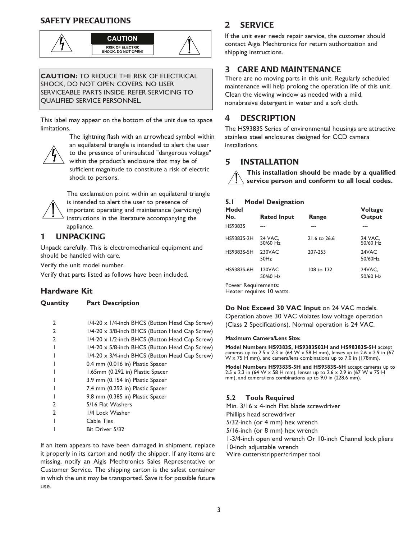## **SAFETY PRECAUTIONS**





**CAUTION:** TO REDUCE THE RISK OF ELECTRICAL SHOCK, DO NOT OPEN COVERS. NO USER SERVICEABLE PARTS INSIDE. REFER SERVICING TO QUALIFIED SERVICE PERSONNEL.

This label may appear on the bottom of the unit due to space limitations.



The lightning flash with an arrowhead symbol within an equilateral triangle is intended to alert the user to the presence of uninsulated "dangerous voltage" within the product's enclosure that may be of sufficient magnitude to constitute a risk of electric shock to persons.



The exclamation point within an equilateral triangle is intended to alert the user to presence of important operating and maintenance (servicing) instructions in the literature accompanying the appliance.

## **1 UNPACKING**

Unpack carefully. This is electromechanical equipment and should be handled with care.

Verify the unit model number.

Verify that parts listed as follows have been included.

## **Hardware Kit**

**Quantity Part Description**

| $\mathbf{2}$ | 1/4-20 x 1/4-inch BHCS (Button Head Cap Screw) |
|--------------|------------------------------------------------|
| 2            | 1/4-20 x 3/8-inch BHCS (Button Head Cap Screw) |
| 2            | 1/4-20 x 1/2-inch BHCS (Button Head Cap Screw) |
|              | 1/4-20 x 5/8-inch BHCS (Button Head Cap Screw) |
|              | 1/4-20 x 3/4-inch BHCS (Button Head Cap Screw) |
|              | 0.4 mm (0.016 in) Plastic Spacer               |
|              | 1.65mm (0.292 in) Plastic Spacer               |
|              | 3.9 mm (0.154 in) Plastic Spacer               |
|              | 7.4 mm (0.292 in) Plastic Spacer               |
|              | 9.8 mm (0.385 in) Plastic Spacer               |
| 2            | 5/16 Flat Washers                              |
| 2            | 1/4 Lock Washer                                |
|              | Cable Ties                                     |
|              | Bit Driver 5/32                                |
|              |                                                |

If an item appears to have been damaged in shipment, replace it properly in its carton and notify the shipper. If any items are missing, notify an Aigis Mechtronics Sales Representative or Customer Service. The shipping carton is the safest container in which the unit may be transported. Save it for possible future use.

## **2 SERVICE**

If the unit ever needs repair service, the customer should contact Aigis Mechtronics for return authorization and shipping instructions.

## **3 CARE AND MAINTENANCE**

There are no moving parts in this unit. Regularly scheduled maintenance will help prolong the operation life of this unit. Clean the viewing window as needed with a mild, nonabrasive detergent in water and a soft cloth.

## **4 DESCRIPTION**

The HS9383S Series of environmental housings are attractive stainless steel enclosures designed for CCD camera installations.

## **5 INSTALLATION**

**This installation should be made by a qualified service person and conform to all local codes.**

### **5.1 Model Designation**

| Model<br>No.       | <b>Rated Input</b>  | Range        | <b>Voltage</b><br>Output |  |  |
|--------------------|---------------------|--------------|--------------------------|--|--|
| <b>HS9383S</b>     |                     |              |                          |  |  |
| HS9383S-2H         | 24 VAC,<br>50/60 Hz | 21.6 to 26.6 | 24 VAC,<br>50/60 Hz      |  |  |
| HS9383S-5H         | 230VAC<br>50Hz      | 207-253      | 24VAC<br>50/60Hz         |  |  |
| HS9383S-6H         | 120VAC<br>50/60 Hz  | 108 to 132   | 24VAC,<br>50/60 Hz       |  |  |
| Power Requirements |                     |              |                          |  |  |

pwer Requirements: Heater requires 10 watts.

**Do Not Exceed 30 VAC Input** on 24 VAC models. Operation above 30 VAC violates low voltage operation (Class 2 Specifications). Normal operation is 24 VAC.

#### **Maximum Camera/Lens Size:**

**Model Numbers HS9383S, HS9383S02H and HS98383S-5H** accept cameras up to 2.5 x 2.3 in (64 W x 58 H mm), lenses up to 2.6 x 2.9 in (67 W x 75 H mm), and camera/lens combinations up to 7.0 in (178mm).

**Model Numbers HS9383S-5H and HS9383S-6H** accept cameras up to 2.5 x 2.3 in (64 W x 58 H mm), lenses up to 2.6 x 2.9 in (67 W x 75 H mm), and camera/lens combinations up to 9.0 in (228.6 mm).

### **5.2 Tools Required**

Min. 3/16 x 4-inch Flat blade screwdriver Phillips head screwdriver 5/32-inch (or 4 mm) hex wrench 5/16-inch (or 8 mm) hex wrench 1-3/4-inch open end wrench Or 10-inch Channel lock pliers 10-inch adjustable wrench Wire cutter/stripper/crimper tool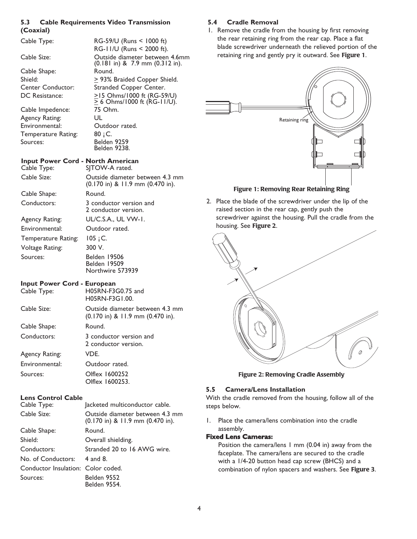#### **5.3 Cable Requirements Video Transmission (Coaxial)**

| Cable Type:                                                                             | RG-59/U (Runs < 1000 ft)<br>RG-11/U (Runs < 2000 ft).                                                                                    |
|-----------------------------------------------------------------------------------------|------------------------------------------------------------------------------------------------------------------------------------------|
| Cable Size:                                                                             | Outside diameter between 4.6mm<br>$(0.181$ in) & 7.9 mm $(0.312$ in).                                                                    |
| Cable Shape:<br>Shield:<br>Center Conductor:<br>DC Resistance:                          | Round.<br>$\geq$ 93% Braided Copper Shield.<br>Stranded Copper Center.<br>≥15 Ohms/1000 ft (RG-59/U)<br>$\geq$ 6 Ohms/1000 ft (RG-11/U). |
| Cable Impedence:<br>Agency Rating:<br>Environmental:<br>Temperature Rating:<br>Sources: | 75 Ohm.<br>UL<br>Outdoor rated.<br>80 ; C.<br>Belden 9259<br>Belden 9238.                                                                |
| <b>Input Power Cord - North American</b><br>Cable Type:                                 | SJTOW-A rated.                                                                                                                           |
| Cable Size:                                                                             | Outside diameter between 4.3 mm<br>(0.170 in) & 11.9 mm (0.470 in).                                                                      |
| Cable Shape:                                                                            | Round.                                                                                                                                   |
| Conductors:                                                                             | 3 conductor version and<br>2 conductor version.                                                                                          |
| Agency Rating:                                                                          | UL/C.S.A., UL VW-1.                                                                                                                      |
| Environmental:                                                                          | Outdoor rated.                                                                                                                           |
| Temperature Rating:                                                                     | $105$ ; C.                                                                                                                               |
| Voltage Rating:                                                                         | 300 V.                                                                                                                                   |
| Sources:                                                                                | Belden 19506<br><b>Belden 19509</b><br>Northwire 573939                                                                                  |
| <b>Input Power Cord - European</b><br>Cable Type:                                       | H05RN-F3G0.75 and<br>H05RN-F3G1.00.                                                                                                      |
| Cable Size:                                                                             | Outside diameter between 4.3 mm<br>$(0.170 \text{ in})$ & 11.9 mm $(0.470 \text{ in})$ .                                                 |
| Cable Shape:                                                                            | Round.                                                                                                                                   |
| Conductors:                                                                             | 3 conductor version and<br>2 conductor version.                                                                                          |
| Agency Rating:                                                                          | VDE.                                                                                                                                     |
| Environmental:                                                                          | Outdoor rated.                                                                                                                           |
| Sources:                                                                                | Olflex 1600252<br>Olflex 1600253.                                                                                                        |
| <b>Lens Control Cable</b>                                                               |                                                                                                                                          |
| Cable Type:                                                                             | Jacketed multiconductor cable.                                                                                                           |
| Cable Size:                                                                             | Outside diameter between 4.3 mm<br>(0.170 in) & 11.9 mm (0.470 in).                                                                      |

| Cable Size:                        | Outside diameter between 4.3 mr<br>$(0.170 \text{ in})$ & 11.9 mm $(0.470 \text{ in})$ . |
|------------------------------------|------------------------------------------------------------------------------------------|
| Cable Shape:                       | Round.                                                                                   |
| Shield:                            | Overall shielding.                                                                       |
| Conductors:                        | Stranded 20 to 16 AWG wire.                                                              |
| No. of Conductors: 4 and 8.        |                                                                                          |
| Conductor Insulation: Color coded. |                                                                                          |
| Sources:                           | Belden 9552<br><b>Belden 9554.</b>                                                       |
|                                    |                                                                                          |

## **5.4 Cradle Removal**

1. Remove the cradle from the housing by first removing the rear retaining ring from the rear cap. Place a flat blade screwdriver underneath the relieved portion of the retaining ring and gently pry it outward. See **Figure 1**.



## **Figure 1: Removing Rear Retaining Ring**

2. Place the blade of the screwdriver under the lip of the raised section in the rear cap, gently push the screwdriver against the housing. Pull the cradle from the housing. See **Figure 2**.



**Figure 2: Removing Cradle Assembly**

#### **5.5 Camera/Lens Installation**

With the cradle removed from the housing, follow all of the steps below.

1. Place the camera/lens combination into the cradle assembly.

#### **Fixed Lens Cameras:**

Position the camera/lens 1 mm (0.04 in) away from the faceplate. The camera/lens are secured to the cradle with a 1/4-20 button head cap screw (BHCS) and a combination of nylon spacers and washers. See **Figure 3**.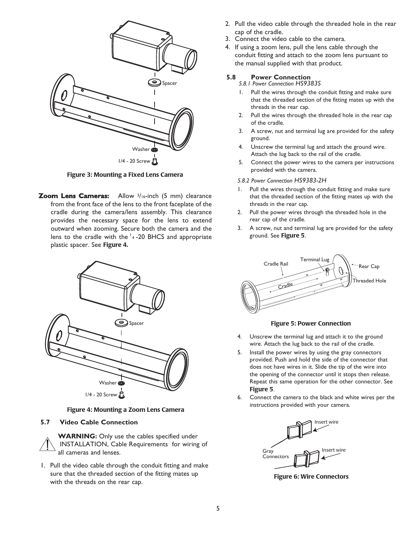

**Figure 3: Mounting a Fixed Lens Camera**

**Zoom Lens Cameras:** Allow 3/16-inch (5 mm) clearance from the front face of the lens to the front faceplate of the cradle during the camera/lens assembly. This clearance provides the necessary space for the lens to extend outward when zooming. Secure both the camera and the lens to the cradle with the  $\frac{1}{4}$ -20 BHCS and appropriate plastic spacer. See **Figure 4.**



**Figure 4: Mounting a Zoom Lens Camera**

#### **5.7 Video Cable Connection**

**WARNING:** Only use the cables specified under INSTALLATION, Cable Requirements for wiring of all cameras and lenses.

1. Pull the video cable through the conduit fitting and make sure that the threaded section of the fitting mates up with the threads on the rear cap.

- 2. Pull the video cable through the threaded hole in the rear cap of the cradle.
- 3. Connect the video cable to the camera.
- 4. If using a zoom lens, pull the lens cable through the conduit fitting and attach to the zoom lens pursuant to the manual supplied with that product.

#### **5.8 Power Connection**

*5.8.1 Power Connection HS9383S* 

- 1. Pull the wires through the conduit fitting and make sure that the threaded section of the fitting mates up with the threads in the rear cap.
- 2. Pull the wires through the threaded hole in the rear cap of the cradle.
- 3. A screw, nut and terminal lug are provided for the safety ground.
- 4. Unscrew the terminal lug and attach the ground wire. Attach the lug back to the rail of the cradle.
- 5. Connect the power wires to the camera per instructions provided with the camera.

#### *5.8.2 Power Connection HS9383-2H*

- Pull the wires through the conduit fitting and make sure that the threaded section of the fitting mates up with the threads in the rear cap.
- 2. Pull the power wires through the threaded hole in the rear cap of the cradle.
- 3. A screw, nut and terminal lug are provided for the safety ground. See **Figure 5**.



#### **Figure 5: Power Connection**

- 4. Unscrew the terminal lug and attach it to the ground wire. Attach the lug back to the rail of the cradle.
- 5. Install the power wires by using the gray connectors provided. Push and hold the side of the connector that does not have wires in it. Slide the tip of the wire into the opening of the connector until it stops then release. Repeat this same operation for the other connector. See **Figure 5**.
- 6. Connect the camera to the black and white wires per the instructions provided with your camera.



**Figure 6: Wire Connectors**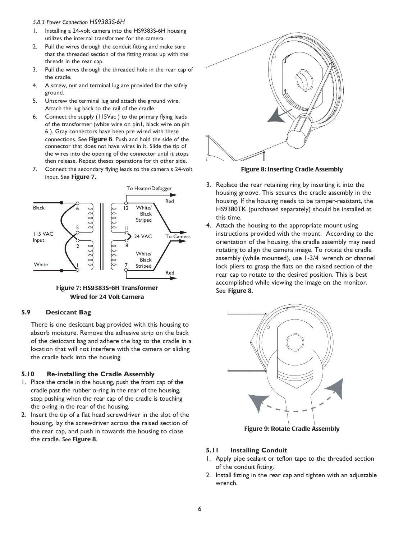#### *5.8.3 Power Connection HS9383S-6H*

- 1. Installing a 24-volt camera into the HS9383S-6H housing utilizes the internal transformer for the camera.
- 2. Pull the wires through the conduit fitting and make sure that the threaded section of the fitting mates up with the threads in the rear cap.
- 3. Pull the wires through the threaded hole in the rear cap of the cradle.
- 4. A screw, nut and terminal lug are provided for the safely ground.
- 5. Unscrew the terminal lug and attach the ground wire. Attach the lug back to the rail of the cradle.
- 6. Connect the supply (115Vac ) to the primary flying leads of the transformer (white wire on pin1, black wire on pin 6 ). Gray connectors have been pre wired with these connections. See **Figure 6**. Push and hold the side of the connector that does not have wires in it. Slide the tip of the wires into the opening of the connector until it stops then release. Repeat theses operations for th other side.
- 7. Connect the secondary flying leads to the camera s 24-volt input. See **Figure 7.**



**Figure 7: HS9383S-6H Transformer Wired for 24 Volt Camera** 

#### **5.9 Desiccant Bag**

There is one desiccant bag provided with this housing to absorb moisture. Remove the adhesive strip on the back of the desiccant bag and adhere the bag to the cradle in a location that will not interfere with the camera or sliding the cradle back into the housing.

#### **5.10 Re-installing the Cradle Assembly**

- 1. Place the cradle in the housing, push the front cap of the cradle past the rubber o-ring in the rear of the housing, stop pushing when the rear cap of the cradle is touching the o-ring in the rear of the housing.
- 2. Insert the tip of a flat head screwdriver in the slot of the housing, lay the screwdriver across the raised section of the rear cap, and push in towards the housing to close the cradle. See **Figure 8**.



**Figure 8: Inserting Cradle Assembly**

- 3. Replace the rear retaining ring by inserting it into the housing groove. This secures the cradle assembly in the housing. If the housing needs to be tamper-resistant, the HS9380TK (purchased separately) should be installed at this time.
- 4. Attach the housing to the appropriate mount using instructions provided with the mount. According to the orientation of the housing, the cradle assembly may need rotating to align the camera image. To rotate the cradle assembly (while mounted), use 1-3/4 wrench or channel lock pliers to grasp the flats on the raised section of the rear cap to rotate to the desired position. This is best accomplished while viewing the image on the monitor. See **Figure 8.**



**Figure 9: Rotate Cradle Assembly**

#### **5.11 Installing Conduit**

- 1. Apply pipe sealant or teflon tape to the threaded section of the conduit fitting.
- 2. Install fitting in the rear cap and tighten with an adjustable wrench.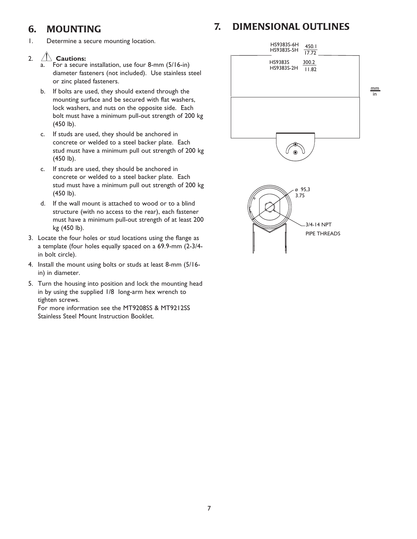## **6. MOUNTING**

1. Determine a secure mounting location.

## 2. **Cautions:**

- a. For a secure installation, use four 8-mm (5/16-in) diameter fasteners (not included). Use stainless steel or zinc plated fasteners.
- b. If bolts are used, they should extend through the mounting surface and be secured with flat washers, lock washers, and nuts on the opposite side. Each bolt must have a minimum pull-out strength of 200 kg (450 lb).
- c. If studs are used, they should be anchored in concrete or welded to a steel backer plate. Each stud must have a minimum pull out strength of 200 kg (450 lb).
- c. If studs are used, they should be anchored in concrete or welded to a steel backer plate. Each stud must have a minimum pull out strength of 200 kg (450 lb).
- d. If the wall mount is attached to wood or to a blind structure (with no access to the rear), each fastener must have a minimum pull-out strength of at least 200 kg (450 lb).
- 3. Locate the four holes or stud locations using the flange as a template (four holes equally spaced on a 69.9-mm (2-3/4 in bolt circle).
- 4. Install the mount using bolts or studs at least 8-mm (5/16 in) in diameter.
- 5. Turn the housing into position and lock the mounting head in by using the supplied 1/8 long-arm hex wrench to tighten screws.

For more information see the MT9208SS & MT9212SS Stainless Steel Mount Instruction Booklet.

# HS9383S-6H 450.1 HS9383S-5H 17.72 HS9383S 300.2  $H$ S9383S-2H  $182$ mm in  $\circledcirc$ 95,3 ø 3.75 3/4-14 NPT PIPE THREADS

**7. DIMENSIONAL OUTLINES**